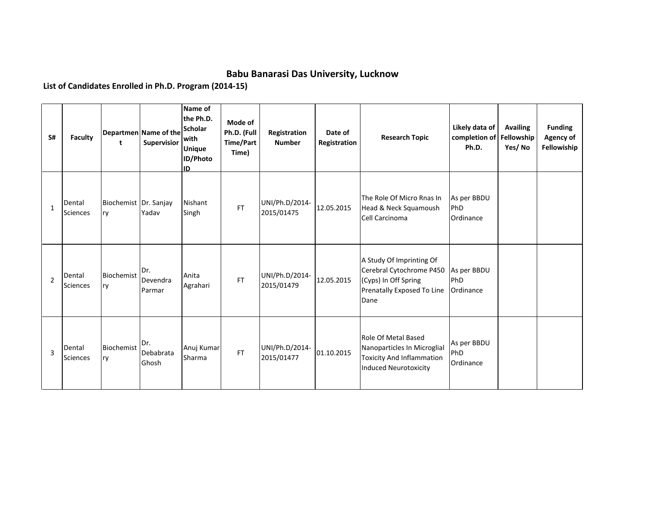## **Babu Banarasi Das University, Lucknow**

**List of Candidates Enrolled in Ph.D. Program (2014-15)**

| S#             | <b>Faculty</b>            | t                           | Departmen Name of the<br>Supervisior | Name of<br>the Ph.D.<br><b>Scholar</b><br>with<br><b>Unique</b><br>ID/Photo<br>ID | Mode of<br>Ph.D. (Full<br>Time/Part<br>Time) | Registration<br><b>Number</b> | Date of<br>Registration | <b>Research Topic</b>                                                                                                  | Likely data of<br>completion of<br>Ph.D. | <b>Availing</b><br>Fellowship<br>Yes/No | <b>Funding</b><br><b>Agency of</b><br>Fellowiship |
|----------------|---------------------------|-----------------------------|--------------------------------------|-----------------------------------------------------------------------------------|----------------------------------------------|-------------------------------|-------------------------|------------------------------------------------------------------------------------------------------------------------|------------------------------------------|-----------------------------------------|---------------------------------------------------|
| 1              | Dental<br>Sciences        | Biochemist Dr. Sanjay<br>ry | Yadav                                | Nishant<br>Singh                                                                  | <b>FT</b>                                    | UNI/Ph.D/2014-<br>2015/01475  | 12.05.2015              | The Role Of Micro Rnas In<br>Head & Neck Squamoush<br>Cell Carcinoma                                                   | As per BBDU<br>PhD<br>Ordinance          |                                         |                                                   |
| $\overline{2}$ | Dental<br>Sciences        | Biochemist<br>ry            | Dr.<br>Devendra<br>Parmar            | Anita<br>Agrahari                                                                 | <b>FT</b>                                    | UNI/Ph.D/2014-<br>2015/01479  | 12.05.2015              | A Study Of Imprinting Of<br>Cerebral Cytochrome P450<br>(Cyps) In Off Spring<br>Prenatally Exposed To Line<br>Dane     | As per BBDU<br>PhD<br>Ordinance          |                                         |                                                   |
| 3              | Dental<br><b>Sciences</b> | Biochemist<br>ry            | Dr.<br>Debabrata<br>Ghosh            | Anuj Kumar<br>Sharma                                                              | <b>FT</b>                                    | UNI/Ph.D/2014-<br>2015/01477  | 01.10.2015              | Role Of Metal Based<br>Nanoparticles In Microglial<br><b>Toxicity And Inflammation</b><br><b>Induced Neurotoxicity</b> | As per BBDU<br>PhD<br>Ordinance          |                                         |                                                   |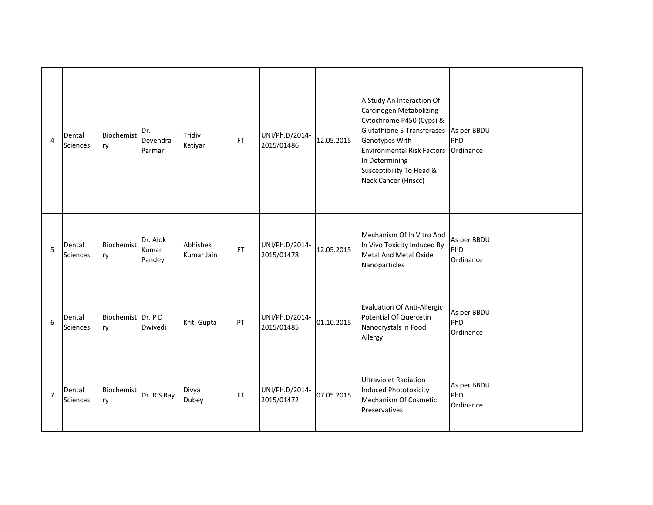| 4              | Dental<br><b>Sciences</b> | Biochemist<br>ry        | Dr.<br>Devendra<br>Parmar   | Tridiv<br>Katiyar      | FT        | UNI/Ph.D/2014-<br>2015/01486 | 12.05.2015 | A Study An Interaction Of<br>Carcinogen Metabolizing<br>Cytochrome P450 (Cyps) &<br><b>Glutathione S-Transferases</b><br>Genotypes With<br><b>Environmental Risk Factors</b><br>In Determining<br>Susceptibility To Head &<br>Neck Cancer (Hnscc) | As per BBDU<br>PhD<br>Ordinance |  |
|----------------|---------------------------|-------------------------|-----------------------------|------------------------|-----------|------------------------------|------------|---------------------------------------------------------------------------------------------------------------------------------------------------------------------------------------------------------------------------------------------------|---------------------------------|--|
| 5              | Dental<br>Sciences        | Biochemist<br>ry        | Dr. Alok<br>Kumar<br>Pandey | Abhishek<br>Kumar Jain | <b>FT</b> | UNI/Ph.D/2014-<br>2015/01478 | 12.05.2015 | Mechanism Of In Vitro And<br>In Vivo Toxicity Induced By<br>Metal And Metal Oxide<br>Nanoparticles                                                                                                                                                | As per BBDU<br>PhD<br>Ordinance |  |
| 6              | Dental<br><b>Sciences</b> | Biochemist Dr. PD<br>ry | Dwivedi                     | Kriti Gupta            | PT        | UNI/Ph.D/2014-<br>2015/01485 | 01.10.2015 | Evaluation Of Anti-Allergic<br>Potential Of Quercetin<br>Nanocrystals In Food<br>Allergy                                                                                                                                                          | As per BBDU<br>PhD<br>Ordinance |  |
| $\overline{7}$ | Dental<br><b>Sciences</b> | Biochemist<br>ry        | Dr. R S Ray                 | Divya<br>Dubey         | <b>FT</b> | UNI/Ph.D/2014-<br>2015/01472 | 07.05.2015 | <b>Ultraviolet Radiation</b><br><b>Induced Phototoxicity</b><br>Mechanism Of Cosmetic<br>Preservatives                                                                                                                                            | As per BBDU<br>PhD<br>Ordinance |  |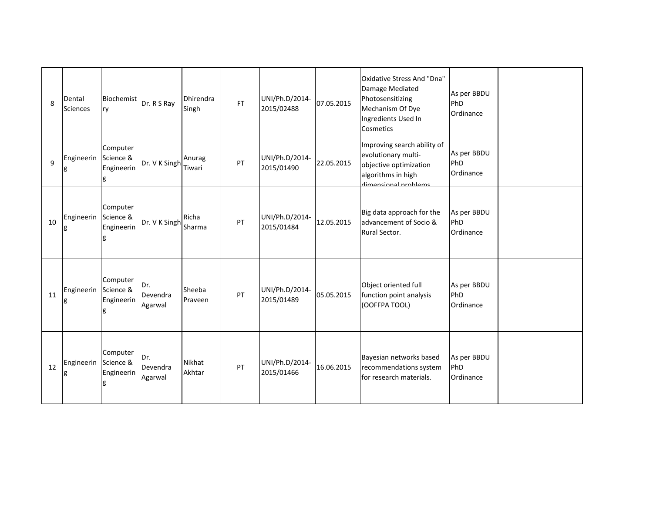| 8  | Dental<br><b>Sciences</b> | <b>Biochemist</b><br>ry                  | Dr. R S Ray                | Dhirendra<br>Singh | <b>FT</b> | UNI/Ph.D/2014-<br>2015/02488 | 07.05.2015 | Oxidative Stress And "Dna"<br>Damage Mediated<br>Photosensitizing<br>Mechanism Of Dye<br>Ingredients Used In<br>Cosmetics  | As per BBDU<br>PhD<br>Ordinance |  |
|----|---------------------------|------------------------------------------|----------------------------|--------------------|-----------|------------------------------|------------|----------------------------------------------------------------------------------------------------------------------------|---------------------------------|--|
| 9  | Engineerin Science &      | Computer<br>Engineerin<br>g              | Dr. V K Singh              | Anurag<br>Tiwari   | PT        | UNI/Ph.D/2014-<br>2015/01490 | 22.05.2015 | Improving search ability of<br>evolutionary multi-<br>objective optimization<br>algorithms in high<br>dimensional problems | As per BBDU<br>PhD<br>Ordinance |  |
| 10 | Engineerin Science &<br>g | Computer<br>Engineerin<br>g              | Dr. V K Singh              | Richa<br>Sharma    | PT        | UNI/Ph.D/2014-<br>2015/01484 | 12.05.2015 | Big data approach for the<br>advancement of Socio &<br>Rural Sector.                                                       | As per BBDU<br>PhD<br>Ordinance |  |
| 11 | Engineerin<br>g           | Computer<br>Science &<br>Engineerin<br>g | Dr.<br>Devendra<br>Agarwal | Sheeba<br>Praveen  | PT        | UNI/Ph.D/2014-<br>2015/01489 | 05.05.2015 | Object oriented full<br>function point analysis<br>(OOFFPA TOOL)                                                           | As per BBDU<br>PhD<br>Ordinance |  |
| 12 | Engineerin                | Computer<br>Science &<br>Engineerin<br>g | Dr.<br>Devendra<br>Agarwal | Nikhat<br>Akhtar   | PT        | UNI/Ph.D/2014-<br>2015/01466 | 16.06.2015 | Bayesian networks based<br>recommendations system<br>for research materials.                                               | As per BBDU<br>PhD<br>Ordinance |  |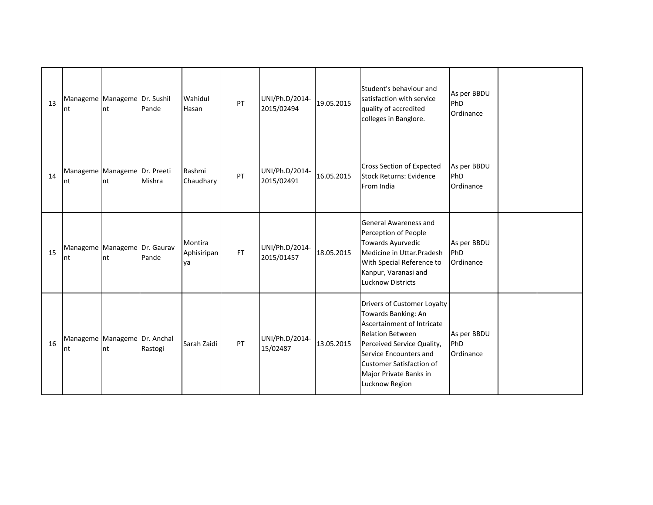| 13 | Manageme Manageme Dr. Sushil<br>nt | nt | Pande   | Wahidul<br>Hasan             | PT        | UNI/Ph.D/2014-<br>2015/02494 | 19.05.2015 | Student's behaviour and<br>satisfaction with service<br>quality of accredited<br>colleges in Banglore.                                                                                                                                             | As per BBDU<br>PhD<br>Ordinance |  |
|----|------------------------------------|----|---------|------------------------------|-----------|------------------------------|------------|----------------------------------------------------------------------------------------------------------------------------------------------------------------------------------------------------------------------------------------------------|---------------------------------|--|
| 14 | Manageme Manageme Dr. Preeti<br>nt | nt | Mishra  | Rashmi<br>Chaudhary          | PT        | UNI/Ph.D/2014-<br>2015/02491 | 16.05.2015 | <b>Cross Section of Expected</b><br>Stock Returns: Evidence<br>From India                                                                                                                                                                          | As per BBDU<br>PhD<br>Ordinance |  |
| 15 | Manageme Manageme Dr. Gaurav<br>nt | nt | Pande   | Montira<br>Aphisiripan<br>ya | <b>FT</b> | UNI/Ph.D/2014-<br>2015/01457 | 18.05.2015 | <b>General Awareness and</b><br>Perception of People<br>Towards Ayurvedic<br>Medicine in Uttar.Pradesh<br>With Special Reference to<br>Kanpur, Varanasi and<br><b>Lucknow Districts</b>                                                            | As per BBDU<br>PhD<br>Ordinance |  |
| 16 | Manageme Manageme Dr. Anchal<br>nt | nt | Rastogi | Sarah Zaidi                  | PT        | UNI/Ph.D/2014-<br>15/02487   | 13.05.2015 | Drivers of Customer Loyalty<br>Towards Banking: An<br>Ascertainment of Intricate<br><b>Relation Between</b><br>Perceived Service Quality,<br>Service Encounters and<br><b>Customer Satisfaction of</b><br>Major Private Banks in<br>Lucknow Region | As per BBDU<br>PhD<br>Ordinance |  |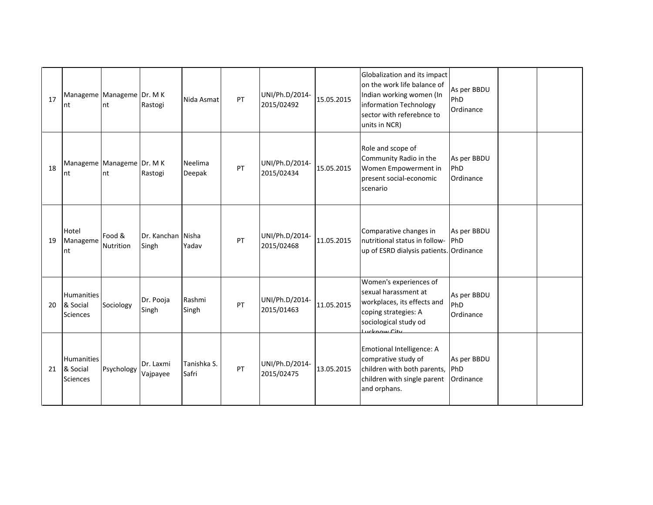| 17 | Manageme Manageme Dr. M K<br>Int          | nt                  | Rastogi                    | Nida Asmat           | PT | UNI/Ph.D/2014-<br>2015/02492 | 15.05.2015 | Globalization and its impact<br>on the work life balance of<br>Indian working women (In<br>information Technology<br>sector with referebnce to<br>units in NCR) | As per BBDU<br>PhD<br>Ordinance |  |
|----|-------------------------------------------|---------------------|----------------------------|----------------------|----|------------------------------|------------|-----------------------------------------------------------------------------------------------------------------------------------------------------------------|---------------------------------|--|
| 18 | Manageme Manageme Dr. M K<br>Int          | nt                  | Rastogi                    | Neelima<br>Deepak    | PT | UNI/Ph.D/2014-<br>2015/02434 | 15.05.2015 | Role and scope of<br>Community Radio in the<br>Women Empowerment in<br>present social-economic<br>scenario                                                      | As per BBDU<br>PhD<br>Ordinance |  |
| 19 | Hotel<br>Manageme<br>nt                   | Food &<br>Nutrition | Dr. Kanchan Nisha<br>Singh | Yadav                | PT | UNI/Ph.D/2014-<br>2015/02468 | 11.05.2015 | Comparative changes in<br>nutritional status in follow-<br>up of ESRD dialysis patients. Ordinance                                                              | As per BBDU<br>PhD              |  |
| 20 | Humanities<br>& Social<br>Sciences        | Sociology           | Dr. Pooja<br>Singh         | Rashmi<br>Singh      | PT | UNI/Ph.D/2014-<br>2015/01463 | 11.05.2015 | Women's experiences of<br>sexual harassment at<br>workplaces, its effects and<br>coping strategies: A<br>sociological study od<br>ucknow City                   | As per BBDU<br>PhD<br>Ordinance |  |
| 21 | <b>Humanities</b><br>& Social<br>Sciences | Psychology          | Dr. Laxmi<br>Vajpayee      | Tanishka S.<br>Safri | PT | UNI/Ph.D/2014-<br>2015/02475 | 13.05.2015 | Emotional Intelligence: A<br>comprative study of<br>children with both parents,<br>children with single parent<br>and orphans.                                  | As per BBDU<br>PhD<br>Ordinance |  |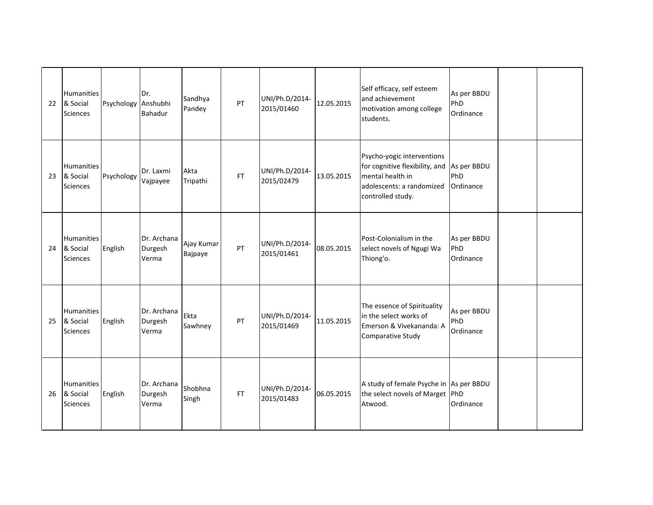| 22 | <b>Humanities</b><br>& Social<br>Sciences        | Psychology Anshubhi | Dr.<br><b>Bahadur</b>           | Sandhya<br>Pandey     | PT        | UNI/Ph.D/2014-<br>2015/01460 | 12.05.2015 | Self efficacy, self esteem<br>and achievement<br>motivation among college<br>students.                                             | As per BBDU<br>PhD<br>Ordinance |  |
|----|--------------------------------------------------|---------------------|---------------------------------|-----------------------|-----------|------------------------------|------------|------------------------------------------------------------------------------------------------------------------------------------|---------------------------------|--|
| 23 | <b>Humanities</b><br>& Social<br>Sciences        | Psychology          | Dr. Laxmi<br>Vajpayee           | Akta<br>Tripathi      | <b>FT</b> | UNI/Ph.D/2014-<br>2015/02479 | 13.05.2015 | Psycho-yogic interventions<br>for cognitive flexibility, and<br>mental health in<br>adolescents: a randomized<br>controlled study. | As per BBDU<br>PhD<br>Ordinance |  |
| 24 | Humanities<br>& Social<br>Sciences               | English             | Dr. Archana<br>Durgesh<br>Verma | Ajay Kumar<br>Bajpaye | PT        | UNI/Ph.D/2014-<br>2015/01461 | 08.05.2015 | Post-Colonialism in the<br>select novels of Ngugi Wa<br>Thiong'o.                                                                  | As per BBDU<br>PhD<br>Ordinance |  |
| 25 | <b>Humanities</b><br>& Social<br><b>Sciences</b> | English             | Dr. Archana<br>Durgesh<br>Verma | Ekta<br>Sawhney       | PT        | UNI/Ph.D/2014-<br>2015/01469 | 11.05.2015 | The essence of Spirituality<br>in the select works of<br>Emerson & Vivekananda: A<br>Comparative Study                             | As per BBDU<br>PhD<br>Ordinance |  |
| 26 | <b>Humanities</b><br>& Social<br>Sciences        | English             | Dr. Archana<br>Durgesh<br>Verma | Shobhna<br>Singh      | FT.       | UNI/Ph.D/2014-<br>2015/01483 | 06.05.2015 | A study of female Psyche in As per BBDU<br>the select novels of Marget PhD<br>Atwood.                                              | Ordinance                       |  |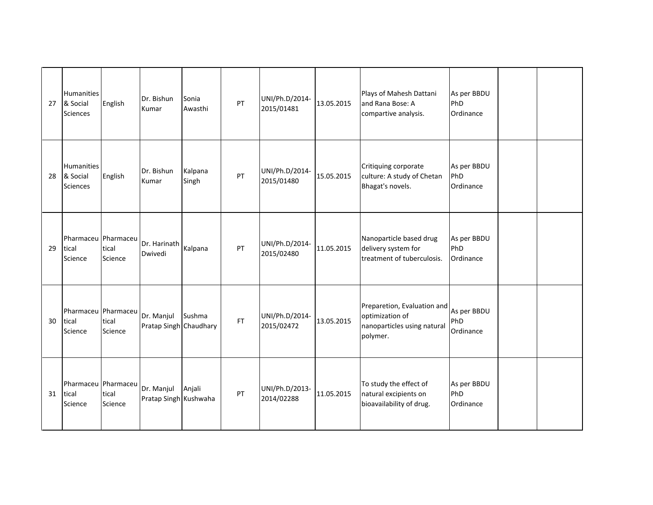| 27 | <b>Humanities</b><br>& Social<br>Sciences | English                       | Dr. Bishun<br>Kumar                  | Sonia<br>Awasthi | PT | UNI/Ph.D/2014-<br>2015/01481 | 13.05.2015 | Plays of Mahesh Dattani<br>and Rana Bose: A<br>compartive analysis.                       | As per BBDU<br>PhD<br>Ordinance |  |
|----|-------------------------------------------|-------------------------------|--------------------------------------|------------------|----|------------------------------|------------|-------------------------------------------------------------------------------------------|---------------------------------|--|
| 28 | Humanities<br>& Social<br>Sciences        | English                       | Dr. Bishun<br>Kumar                  | Kalpana<br>Singh | PT | UNI/Ph.D/2014-<br>2015/01480 | 15.05.2015 | Critiquing corporate<br>culture: A study of Chetan<br>Bhagat's novels.                    | As per BBDU<br>PhD<br>Ordinance |  |
| 29 | Pharmaceu Pharmaceu<br>tical<br>Science   | tical<br>Science              | Dr. Harinath<br>Dwivedi              | Kalpana          | PT | UNI/Ph.D/2014-<br>2015/02480 | 11.05.2015 | Nanoparticle based drug<br>delivery system for<br>treatment of tuberculosis.              | As per BBDU<br>PhD<br>Ordinance |  |
| 30 | Pharmaceu<br>tical<br>Science             | Pharmaceu<br>tical<br>Science | Dr. Manjul<br>Pratap Singh Chaudhary | Sushma           | FT | UNI/Ph.D/2014-<br>2015/02472 | 13.05.2015 | Preparetion, Evaluation and<br>optimization of<br>nanoparticles using natural<br>polymer. | As per BBDU<br>PhD<br>Ordinance |  |
| 31 | Pharmaceu   Pharmaceu<br>tical<br>Science | tical<br>Science              | Dr. Manjul<br>Pratap Singh Kushwaha  | Anjali           | PT | UNI/Ph.D/2013-<br>2014/02288 | 11.05.2015 | To study the effect of<br>natural excipients on<br>bioavailability of drug.               | As per BBDU<br>PhD<br>Ordinance |  |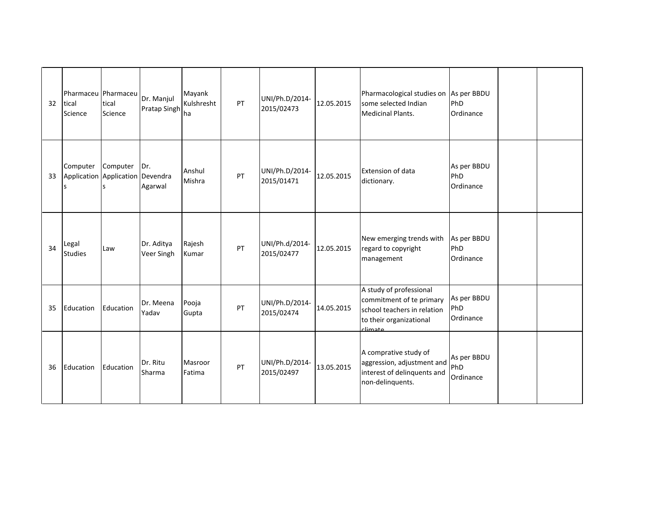| 32 | Pharmaceu Pharmaceu<br>tical<br>Science           | tical<br>Science    | Dr. Manjul<br><b>Pratap Singh</b> | Mayank<br>Kulshresht<br>lha | PT | UNI/Ph.D/2014-<br>2015/02473 | 12.05.2015 | Pharmacological studies on As per BBDU<br>some selected Indian<br><b>Medicinal Plants.</b>                               | PhD<br>Ordinance                |  |
|----|---------------------------------------------------|---------------------|-----------------------------------|-----------------------------|----|------------------------------|------------|--------------------------------------------------------------------------------------------------------------------------|---------------------------------|--|
| 33 | Computer<br>Application Application Devendra<br>S | Computer Dr.<br>l S | Agarwal                           | Anshul<br>Mishra            | PT | UNI/Ph.D/2014-<br>2015/01471 | 12.05.2015 | <b>Extension of data</b><br>dictionary.                                                                                  | As per BBDU<br>PhD<br>Ordinance |  |
| 34 | Legal<br><b>Studies</b>                           | Law                 | Dr. Aditya<br>Veer Singh          | Rajesh<br>Kumar             | PT | UNI/Ph.d/2014-<br>2015/02477 | 12.05.2015 | New emerging trends with<br>regard to copyright<br>management                                                            | As per BBDU<br>PhD<br>Ordinance |  |
| 35 | Education                                         | Education           | Dr. Meena<br>Yadav                | Pooja<br>Gupta              | PT | UNI/Ph.D/2014-<br>2015/02474 | 14.05.2015 | A study of professional<br>commitment of te primary<br>school teachers in relation<br>to their organizational<br>climate | As per BBDU<br>PhD<br>Ordinance |  |
| 36 | Education                                         | Education           | Dr. Ritu<br>Sharma                | Masroor<br>Fatima           | PT | UNI/Ph.D/2014-<br>2015/02497 | 13.05.2015 | A comprative study of<br>aggression, adjustment and<br>interest of delinquents and<br>non-delinquents.                   | As per BBDU<br>PhD<br>Ordinance |  |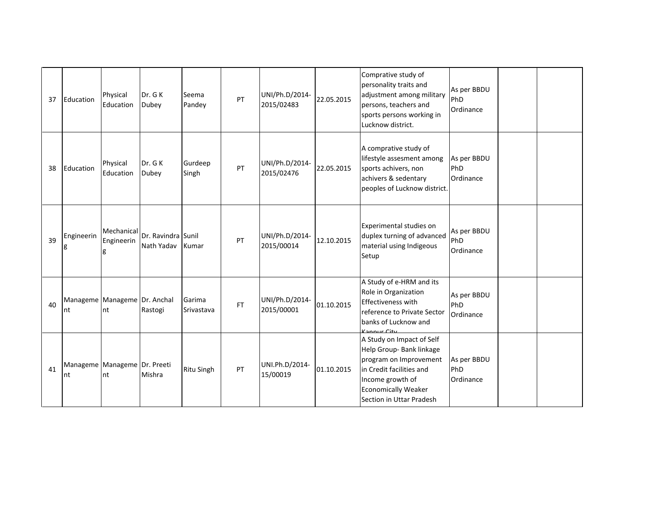| 37 | Education                               | Physical<br>Education         | Dr. G K<br>Dubey                 | Seema<br>Pandey      | PT        | UNI/Ph.D/2014-<br>2015/02483 | 22.05.2015 | Comprative study of<br>personality traits and<br>adjustment among military<br>persons, teachers and<br>sports persons working in<br>Lucknow district.                                     | As per BBDU<br>PhD<br>Ordinance |  |
|----|-----------------------------------------|-------------------------------|----------------------------------|----------------------|-----------|------------------------------|------------|-------------------------------------------------------------------------------------------------------------------------------------------------------------------------------------------|---------------------------------|--|
| 38 | Education                               | Physical<br>Education         | Dr. GK<br>Dubey                  | Gurdeep<br>Singh     | PT        | UNI/Ph.D/2014-<br>2015/02476 | 22.05.2015 | A comprative study of<br>lifestyle assesment among<br>sports achivers, non<br>achivers & sedentary<br>peoples of Lucknow district.                                                        | As per BBDU<br>PhD<br>Ordinance |  |
| 39 | Engineerin                              | Mechanical<br>Engineerin<br>g | Dr. Ravindra Sunil<br>Nath Yadav | Kumar                | PT        | UNI/Ph.D/2014-<br>2015/00014 | 12.10.2015 | Experimental studies on<br>duplex turning of advanced<br>material using Indigeous<br>Setup                                                                                                | As per BBDU<br>PhD<br>Ordinance |  |
| 40 | Manageme   Manageme   Dr. Anchal<br>Int | nt                            | Rastogi                          | Garima<br>Srivastava | <b>FT</b> | UNI/Ph.D/2014-<br>2015/00001 | 01.10.2015 | A Study of e-HRM and its<br>Role in Organization<br><b>Effectiveness with</b><br>reference to Private Sector<br>banks of Lucknow and<br>Connur City                                       | As per BBDU<br>PhD<br>Ordinance |  |
| 41 | Manageme Manageme Dr. Preeti<br>nt      | nt                            | Mishra                           | <b>Ritu Singh</b>    | PT        | UNI.Ph.D/2014-<br>15/00019   | 01.10.2015 | A Study on Impact of Self<br>Help Group- Bank linkage<br>program on Improvement<br>in Credit facilities and<br>Income growth of<br><b>Economically Weaker</b><br>Section in Uttar Pradesh | As per BBDU<br>PhD<br>Ordinance |  |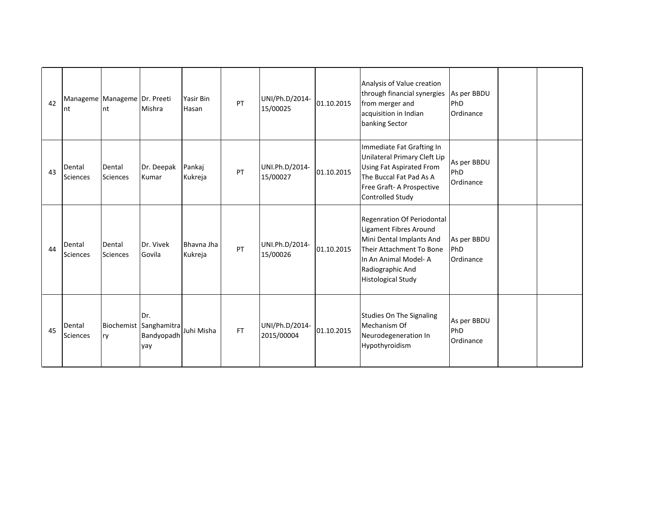| 42 | Manageme Manageme Dr. Preeti<br>Int | nt                        | Mishra                                             | Yasir Bin<br>Hasan    | PT        | UNI/Ph.D/2014-<br>15/00025   | 01.10.2015 | Analysis of Value creation<br>through financial synergies<br>from merger and<br>acquisition in Indian<br>banking Sector                                                                      | As per BBDU<br>PhD<br>Ordinance |  |
|----|-------------------------------------|---------------------------|----------------------------------------------------|-----------------------|-----------|------------------------------|------------|----------------------------------------------------------------------------------------------------------------------------------------------------------------------------------------------|---------------------------------|--|
| 43 | Dental<br><b>Sciences</b>           | Dental<br><b>Sciences</b> | Dr. Deepak<br>Kumar                                | Pankaj<br>Kukreja     | PT        | UNI.Ph.D/2014-<br>15/00027   | 01.10.2015 | Immediate Fat Grafting In<br>Unilateral Primary Cleft Lip<br><b>Using Fat Aspirated From</b><br>The Buccal Fat Pad As A<br>Free Graft- A Prospective<br>Controlled Study                     | As per BBDU<br>PhD<br>Ordinance |  |
| 44 | Dental<br>Sciences                  | Dental<br><b>Sciences</b> | Dr. Vivek<br>Govila                                | Bhavna Jha<br>Kukreja | PT        | UNI.Ph.D/2014-<br>15/00026   | 01.10.2015 | Regenration Of Periodontal<br><b>Ligament Fibres Around</b><br>Mini Dental Implants And<br>Their Attachment To Bone<br>In An Animal Model-A<br>Radiographic And<br><b>Histological Study</b> | As per BBDU<br>PhD<br>Ordinance |  |
| 45 | Dental<br><b>Sciences</b>           | ry                        | Dr.<br>Biochemist Sanghamitra<br>Bandyopadh<br>yay | Juhi Misha            | <b>FT</b> | UNI/Ph.D/2014-<br>2015/00004 | 01.10.2015 | Studies On The Signaling<br>Mechanism Of<br>Neurodegeneration In<br>Hypothyroidism                                                                                                           | As per BBDU<br>PhD<br>Ordinance |  |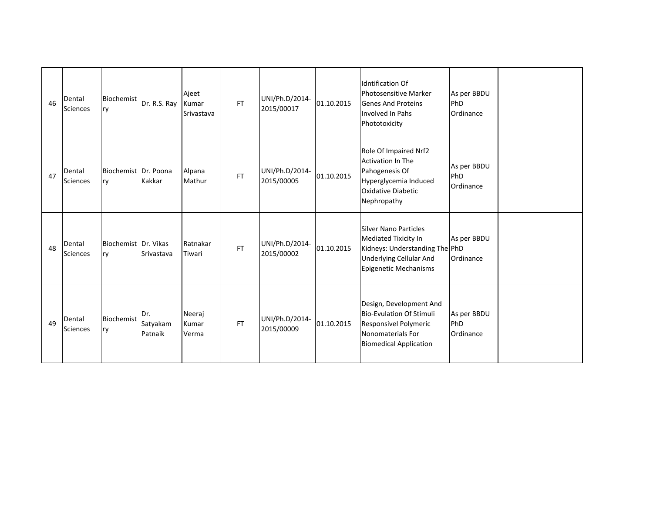| 46 | Dental<br><b>Sciences</b> | Biochemist<br>ry           | Dr. R.S. Ray               | Ajeet<br>Kumar<br>Srivastava | <b>FT</b> | UNI/Ph.D/2014-<br>2015/00017 | 01.10.2015 | <b>Idntification Of</b><br><b>Photosensitive Marker</b><br><b>Genes And Proteins</b><br>Involved In Pahs<br>Phototoxicity                         | As per BBDU<br>PhD<br>Ordinance |  |
|----|---------------------------|----------------------------|----------------------------|------------------------------|-----------|------------------------------|------------|---------------------------------------------------------------------------------------------------------------------------------------------------|---------------------------------|--|
| 47 | Dental<br><b>Sciences</b> | Biochemist Dr. Poona<br>ry | Kakkar                     | Alpana<br>Mathur             | <b>FT</b> | UNI/Ph.D/2014-<br>2015/00005 | 01.10.2015 | Role Of Impaired Nrf2<br><b>Activation In The</b><br>Pahogenesis Of<br>Hyperglycemia Induced<br><b>Oxidative Diabetic</b><br>Nephropathy          | As per BBDU<br>PhD<br>Ordinance |  |
| 48 | Dental<br>Sciences        | Biochemist Dr. Vikas<br>ry | Srivastava                 | Ratnakar<br>Tiwari           | <b>FT</b> | UNI/Ph.D/2014-<br>2015/00002 | 01.10.2015 | <b>Silver Nano Particles</b><br>Mediated Tixicity In<br>Kidneys: Understanding The PhD<br><b>Underlying Cellular And</b><br>Epigenetic Mechanisms | As per BBDU<br>Ordinance        |  |
| 49 | Dental<br>Sciences        | Biochemist<br>ry           | Dr.<br>Satyakam<br>Patnaik | Neeraj<br>Kumar<br>Verma     | <b>FT</b> | UNI/Ph.D/2014-<br>2015/00009 | 01.10.2015 | Design, Development And<br><b>Bio-Evulation Of Stimuli</b><br>Responsivel Polymeric<br>Nonomaterials For<br><b>Biomedical Application</b>         | As per BBDU<br>PhD<br>Ordinance |  |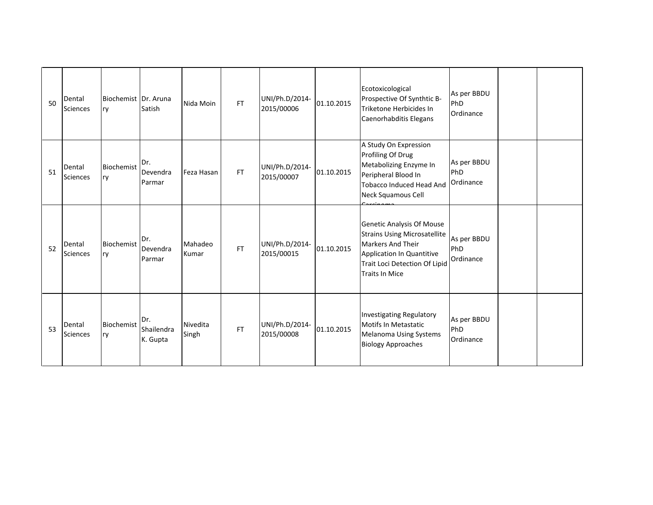| 50 | Dental<br>Sciences        | Biochemist Dr. Aruna<br>ry | Satish                        | Nida Moin         | FT.       | UNI/Ph.D/2014-<br>2015/00006 | 01.10.2015 | Ecotoxicological<br>Prospective Of Synthtic B-<br>Triketone Herbicides In<br>Caenorhabditis Elegans                                                                          | As per BBDU<br>PhD<br>Ordinance |  |
|----|---------------------------|----------------------------|-------------------------------|-------------------|-----------|------------------------------|------------|------------------------------------------------------------------------------------------------------------------------------------------------------------------------------|---------------------------------|--|
| 51 | Dental<br>Sciences        | Biochemist<br>ry           | Dr.<br>Devendra<br>Parmar     | Feza Hasan        | <b>FT</b> | UNI/Ph.D/2014-<br>2015/00007 | 01.10.2015 | A Study On Expression<br>Profiling Of Drug<br>Metabolizing Enzyme In<br>Peripheral Blood In<br>Tobacco Induced Head And<br>Neck Squamous Cell                                | As per BBDU<br>PhD<br>Ordinance |  |
| 52 | Dental<br><b>Sciences</b> | Biochemist<br>ry           | Dr.<br>Devendra<br>Parmar     | Mahadeo<br>Kumar  | FT        | UNI/Ph.D/2014-<br>2015/00015 | 01.10.2015 | Genetic Analysis Of Mouse<br><b>Strains Using Microsatellite</b><br><b>Markers And Their</b><br>Application In Quantitive<br>Trait Loci Detection Of Lipid<br>Traits In Mice | As per BBDU<br>PhD<br>Ordinance |  |
| 53 | Dental<br>Sciences        | Biochemist<br>ry           | Dr.<br>Shailendra<br>K. Gupta | Nivedita<br>Singh | <b>FT</b> | UNI/Ph.D/2014-<br>2015/00008 | 01.10.2015 | Investigating Regulatory<br>Motifs In Metastatic<br><b>Melanoma Using Systems</b><br><b>Biology Approaches</b>                                                               | As per BBDU<br>PhD<br>Ordinance |  |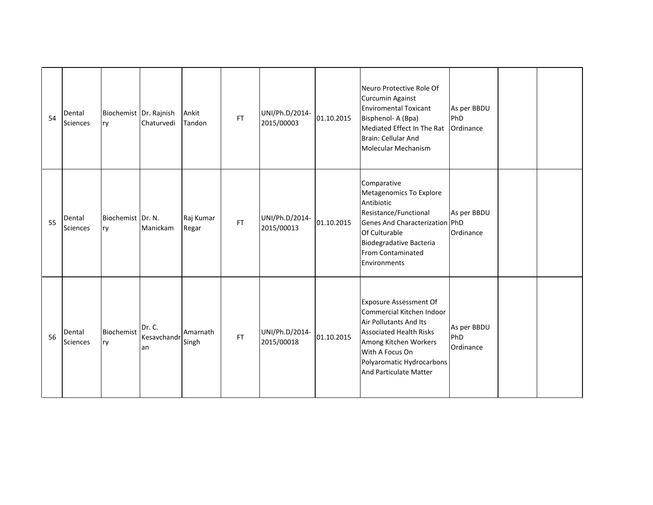| 54 | Dental<br><b>Sciences</b> | Biochemist Dr. Rajnish<br>ry | Chaturvedi                  | Ankit<br>Tandon    | FT.       | UNI/Ph.D/2014-<br>2015/00003 | 01.10.2015 | Neuro Protective Role Of<br><b>Curcumin Against</b><br><b>Enviromental Toxicant</b><br>Bisphenol- A (Bpa)<br>Mediated Effect In The Rat<br>Brain: Cellular And<br>Molecular Mechanism                                            | As per BBDU<br>PhD<br>Ordinance |  |
|----|---------------------------|------------------------------|-----------------------------|--------------------|-----------|------------------------------|------------|----------------------------------------------------------------------------------------------------------------------------------------------------------------------------------------------------------------------------------|---------------------------------|--|
| 55 | Dental<br><b>Sciences</b> | Biochemist Dr. N.<br>ry      | Manickam                    | Raj Kumar<br>Regar | <b>FT</b> | UNI/Ph.D/2014-<br>2015/00013 | 01.10.2015 | Comparative<br>Metagenomics To Explore<br>Antibiotic<br>Resistance/Functional<br><b>Genes And Characterization</b><br>Of Culturable<br>Biodegradative Bacteria<br>From Contaminated<br>Environments                              | As per BBDU<br>PhD<br>Ordinance |  |
| 56 | Dental<br><b>Sciences</b> | Biochemist<br>ry             | Dr. C.<br>Kesavchandr<br>an | Amarnath<br>Singh  | FT        | UNI/Ph.D/2014-<br>2015/00018 | 01.10.2015 | <b>Exposure Assessment Of</b><br>Commercial Kitchen Indoor<br>Air Pollutants And Its<br><b>Associated Health Risks</b><br>Among Kitchen Workers<br>With A Focus On<br>Polyaromatic Hydrocarbons<br><b>And Particulate Matter</b> | As per BBDU<br>PhD<br>Ordinance |  |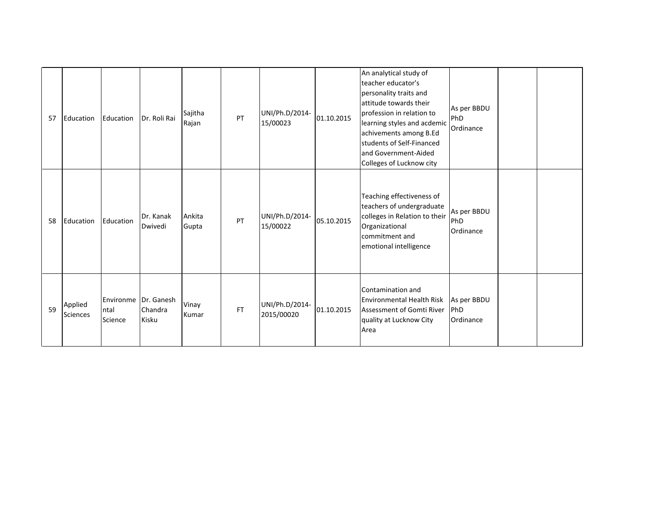| 57 | Education                  | Education                    | Dr. Roli Rai                   | Sajitha<br>Rajan | PT        | UNI/Ph.D/2014-<br>15/00023   | 01.10.2015 | An analytical study of<br>teacher educator's<br>personality traits and<br>attitude towards their<br>profession in relation to<br>learning styles and acdemic<br>achivements among B.Ed<br>students of Self-Financed<br>land Government-Aided<br>Colleges of Lucknow city | As per BBDU<br>PhD<br>Ordinance        |  |
|----|----------------------------|------------------------------|--------------------------------|------------------|-----------|------------------------------|------------|--------------------------------------------------------------------------------------------------------------------------------------------------------------------------------------------------------------------------------------------------------------------------|----------------------------------------|--|
| 58 | Education                  | Education                    | Dr. Kanak<br>Dwivedi           | Ankita<br>Gupta  | PT        | UNI/Ph.D/2014-<br>15/00022   | 05.10.2015 | Teaching effectiveness of<br>teachers of undergraduate<br>colleges in Relation to their<br>Organizational<br>commitment and<br>emotional intelligence                                                                                                                    | As per BBDU<br>PhD<br>Ordinance        |  |
| 59 | Applied<br><b>Sciences</b> | Environme<br>ntal<br>Science | Dr. Ganesh<br>Chandra<br>Kisku | Vinay<br>Kumar   | <b>FT</b> | UNI/Ph.D/2014-<br>2015/00020 | 01.10.2015 | Contamination and<br>Environmental Health Risk<br>Assessment of Gomti River<br>quality at Lucknow City<br>Area                                                                                                                                                           | As per BBDU<br><b>PhD</b><br>Ordinance |  |